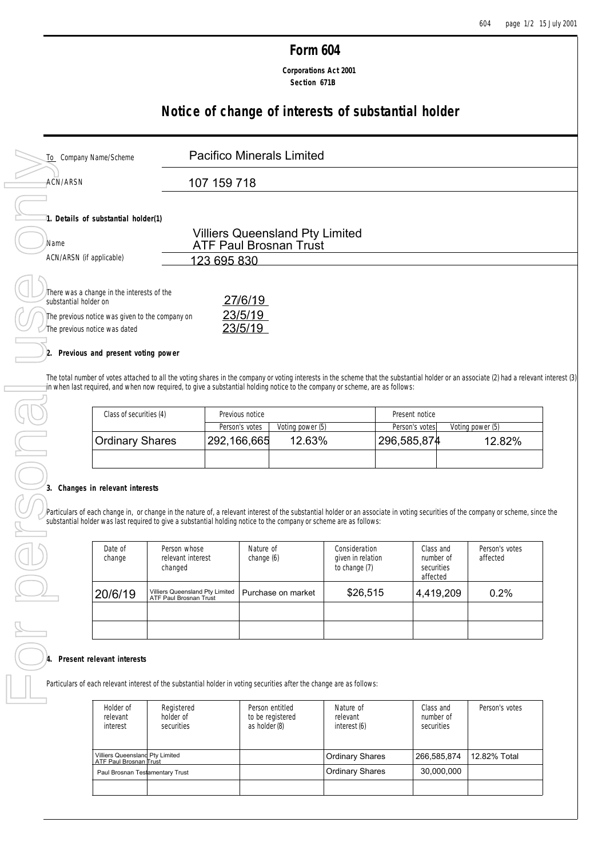# **Form 604**

 **Corporations Act 2001 Section 671B**

# **Notice of change of interests of substantial holder**

| To Company Name/Scheme                                                                                                                                  | <b>Pacifico Minerals Limited</b>                                        |  |
|---------------------------------------------------------------------------------------------------------------------------------------------------------|-------------------------------------------------------------------------|--|
| ACN/ARSN                                                                                                                                                | 107 159 718                                                             |  |
| 1. Details of substantial holder(1)                                                                                                                     |                                                                         |  |
| Name                                                                                                                                                    | <b>Villiers Queensland Pty Limited</b><br><b>ATF Paul Brosnan Trust</b> |  |
| ACN/ARSN (if applicable)                                                                                                                                | 123 695 830                                                             |  |
| There was a change in the interests of the<br>substantial holder on<br>The previous notice was given to the company on<br>The previous notice was dated | 27/6/19<br>23/5/19<br>23/5/19                                           |  |

## **2. Previous and present voting power**

The total number of votes attached to all the voting shares in the company or voting interests in the scheme that the substantial holder or an associate (2) had a relevant interest (3) in when last required, and when now required, to give a substantial holding notice to the company or scheme, are as follows:

| Class of securities (4) | Previous notice |                  | Present notice |                  |
|-------------------------|-----------------|------------------|----------------|------------------|
|                         | Person's votes  | Voting power (5) | Person's votes | Voting power (5) |
| <b>Ordinary Shares</b>  | 292,166,665     | 12.63%           | 296,585,874    | 12.82%           |
|                         |                 |                  |                |                  |

# **3. Changes in relevant interests**

Particulars of each change in, or change in the nature of, a relevant interest of the substantial holder or an associate in voting securities of the company or scheme, since the substantial holder was last required to give substantial holder was last required to give a substantial holding notice to the company or scheme are as follows:

| Date of<br>change | Person whose<br>relevant interest<br>changed              | Nature of<br>change (6) | Consideration<br>given in relation<br>to change (7) | Class and<br>number of<br>securities | Person's votes<br>affected |
|-------------------|-----------------------------------------------------------|-------------------------|-----------------------------------------------------|--------------------------------------|----------------------------|
| 20/6/19           | Villiers Queensland Pty Limited<br>ATF Paul Brosnan Trust | Purchase on market      | \$26,515                                            | affected<br>4,419,209                | $0.2\%$                    |
|                   |                                                           |                         |                                                     |                                      |                            |
|                   |                                                           |                         |                                                     |                                      |                            |

#### **4. Present relevant interests**

Particulars of each relevant interest of the substantial holder in voting securities after the change are as follows:

| Holder of<br>relevant<br>interest                         | Registered<br>holder of<br>securities | Person entitled<br>to be registered<br>as holder (8) | Nature of<br>relevant<br>interest (6) | Class and<br>number of<br>securities | Person's votes |
|-----------------------------------------------------------|---------------------------------------|------------------------------------------------------|---------------------------------------|--------------------------------------|----------------|
| Villiers Queensland Pty Limited<br>ATF Paul Brosnan Trust |                                       |                                                      | <b>Ordinary Shares</b>                | 266.585.874                          | 12.82% Total   |
| Paul Brosnan Testamentary Trust                           |                                       |                                                      | <b>Ordinary Shares</b>                | 30.000.000                           |                |
|                                                           |                                       |                                                      |                                       |                                      |                |